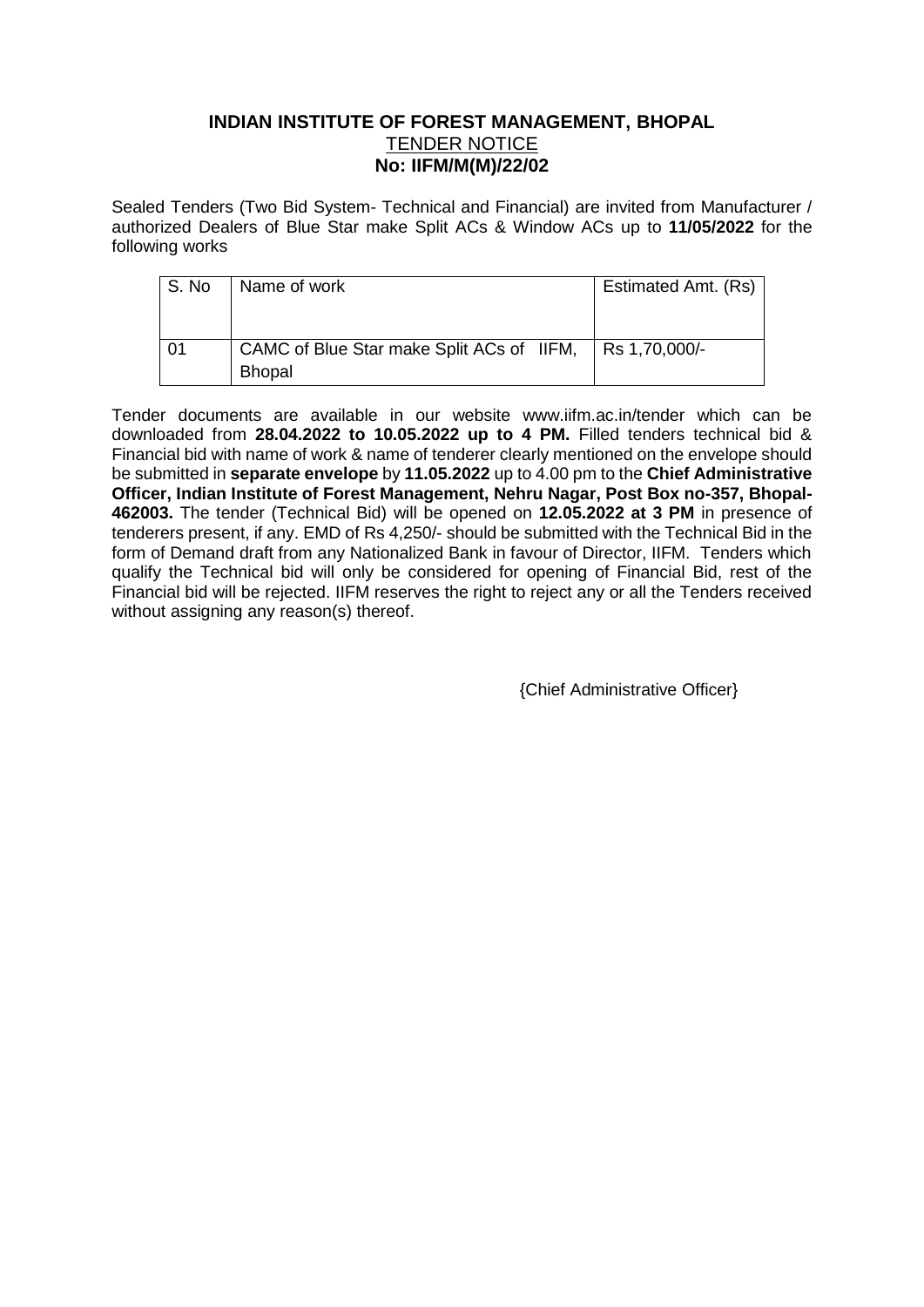## **INDIAN INSTITUTE OF FOREST MANAGEMENT, BHOPAL** TENDER NOTICE **No: IIFM/M(M)/22/02**

Sealed Tenders (Two Bid System- Technical and Financial) are invited from Manufacturer / authorized Dealers of Blue Star make Split ACs & Window ACs up to **11/05/2022** for the following works

| S. No | Name of work                                               | Estimated Amt. (Rs) |  |  |
|-------|------------------------------------------------------------|---------------------|--|--|
|       |                                                            |                     |  |  |
| 01    | CAMC of Blue Star make Split ACs of IIFM,<br><b>Bhopal</b> | Rs 1,70,000/-       |  |  |

Tender documents are available in our website www.iifm.ac.in/tender which can be downloaded from **28.04.2022 to 10.05.2022 up to 4 PM.** Filled tenders technical bid & Financial bid with name of work & name of tenderer clearly mentioned on the envelope should be submitted in **separate envelope** by **11.05.2022** up to 4.00 pm to the **Chief Administrative Officer, Indian Institute of Forest Management, Nehru Nagar, Post Box no-357, Bhopal-462003.** The tender (Technical Bid) will be opened on **12.05.2022 at 3 PM** in presence of tenderers present, if any. EMD of Rs 4,250/- should be submitted with the Technical Bid in the form of Demand draft from any Nationalized Bank in favour of Director, IIFM. Tenders which qualify the Technical bid will only be considered for opening of Financial Bid, rest of the Financial bid will be rejected. IIFM reserves the right to reject any or all the Tenders received without assigning any reason(s) thereof.

{Chief Administrative Officer}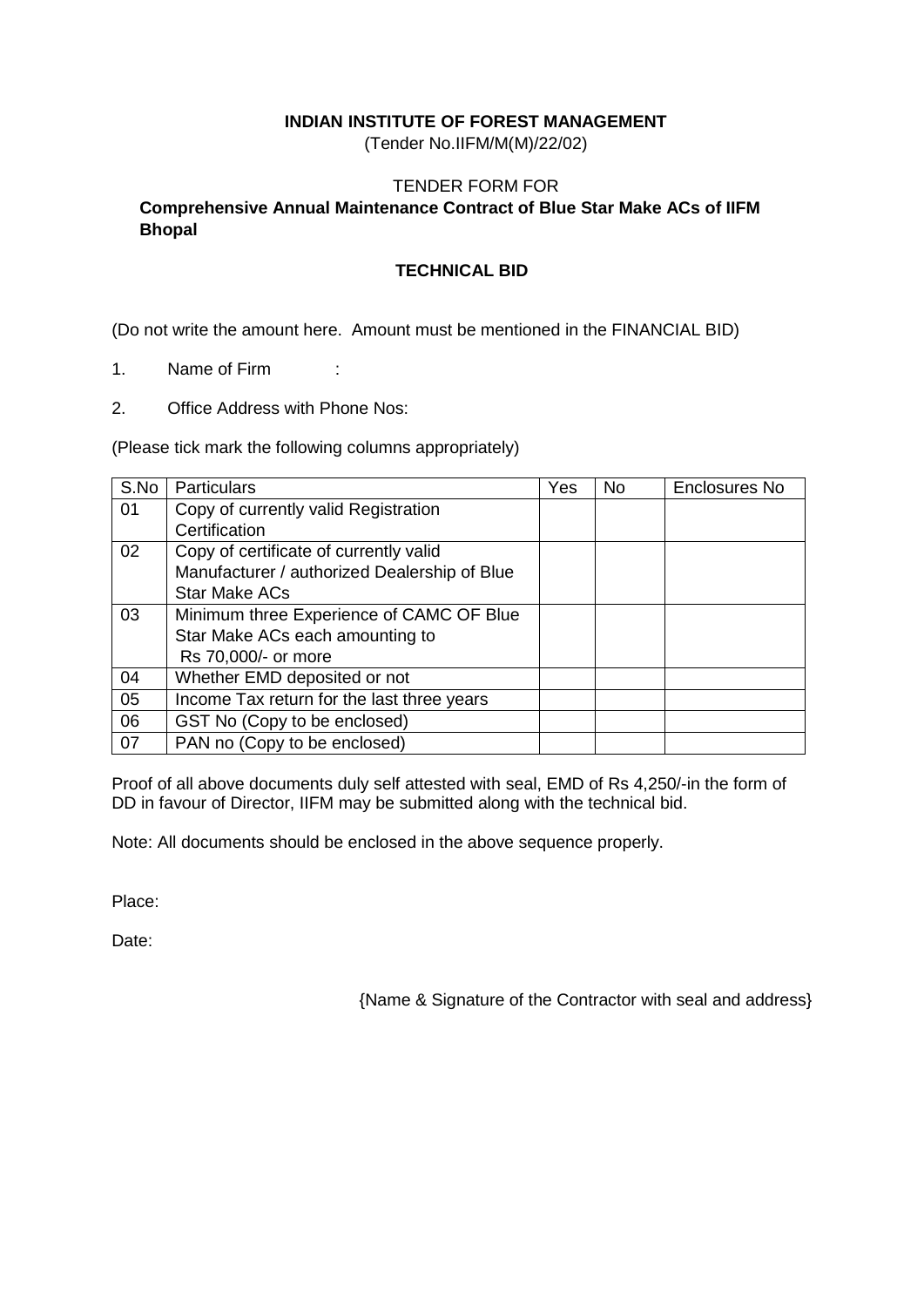## **INDIAN INSTITUTE OF FOREST MANAGEMENT**

(Tender No.IIFM/M(M)/22/02)

### TENDER FORM FOR

# **Comprehensive Annual Maintenance Contract of Blue Star Make ACs of IIFM Bhopal**

### **TECHNICAL BID**

(Do not write the amount here. Amount must be mentioned in the FINANCIAL BID)

- 1. Name of Firm :
- 2. Office Address with Phone Nos:

(Please tick mark the following columns appropriately)

| S.No | <b>Particulars</b>                           | Yes | No. | Enclosures No |
|------|----------------------------------------------|-----|-----|---------------|
| 01   | Copy of currently valid Registration         |     |     |               |
|      | Certification                                |     |     |               |
| 02   | Copy of certificate of currently valid       |     |     |               |
|      | Manufacturer / authorized Dealership of Blue |     |     |               |
|      | <b>Star Make ACs</b>                         |     |     |               |
| 03   | Minimum three Experience of CAMC OF Blue     |     |     |               |
|      | Star Make ACs each amounting to              |     |     |               |
|      | Rs 70,000/- or more                          |     |     |               |
| 04   | Whether EMD deposited or not                 |     |     |               |
| 05   | Income Tax return for the last three years   |     |     |               |
| 06   | GST No (Copy to be enclosed)                 |     |     |               |
| 07   | PAN no (Copy to be enclosed)                 |     |     |               |

Proof of all above documents duly self attested with seal, EMD of Rs 4,250/-in the form of DD in favour of Director, IIFM may be submitted along with the technical bid.

Note: All documents should be enclosed in the above sequence properly.

Place:

Date:

{Name & Signature of the Contractor with seal and address}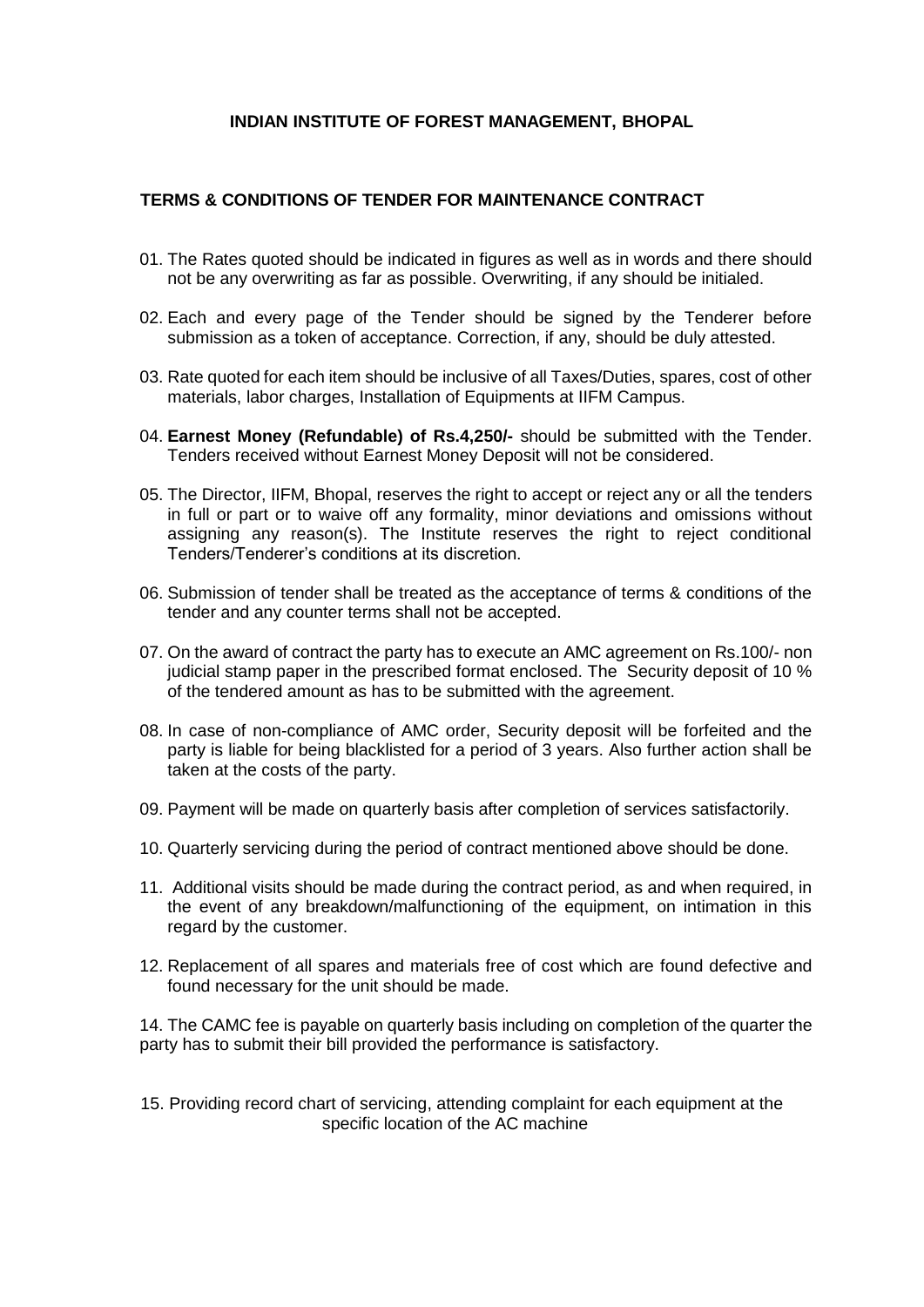#### **INDIAN INSTITUTE OF FOREST MANAGEMENT, BHOPAL**

#### **TERMS & CONDITIONS OF TENDER FOR MAINTENANCE CONTRACT**

- 01. The Rates quoted should be indicated in figures as well as in words and there should not be any overwriting as far as possible. Overwriting, if any should be initialed.
- 02. Each and every page of the Tender should be signed by the Tenderer before submission as a token of acceptance. Correction, if any, should be duly attested.
- 03. Rate quoted for each item should be inclusive of all Taxes/Duties, spares, cost of other materials, labor charges, Installation of Equipments at IIFM Campus.
- 04. **Earnest Money (Refundable) of Rs.4,250/-** should be submitted with the Tender. Tenders received without Earnest Money Deposit will not be considered.
- 05. The Director, IIFM, Bhopal, reserves the right to accept or reject any or all the tenders in full or part or to waive off any formality, minor deviations and omissions without assigning any reason(s). The Institute reserves the right to reject conditional Tenders/Tenderer's conditions at its discretion.
- 06. Submission of tender shall be treated as the acceptance of terms & conditions of the tender and any counter terms shall not be accepted.
- 07. On the award of contract the party has to execute an AMC agreement on Rs.100/- non judicial stamp paper in the prescribed format enclosed. The Security deposit of 10 % of the tendered amount as has to be submitted with the agreement.
- 08. In case of non-compliance of AMC order, Security deposit will be forfeited and the party is liable for being blacklisted for a period of 3 years. Also further action shall be taken at the costs of the party.
- 09. Payment will be made on quarterly basis after completion of services satisfactorily.
- 10. Quarterly servicing during the period of contract mentioned above should be done.
- 11. Additional visits should be made during the contract period, as and when required, in the event of any breakdown/malfunctioning of the equipment, on intimation in this regard by the customer.
- 12. Replacement of all spares and materials free of cost which are found defective and found necessary for the unit should be made.

14. The CAMC fee is payable on quarterly basis including on completion of the quarter the party has to submit their bill provided the performance is satisfactory.

15. Providing record chart of servicing, attending complaint for each equipment at the specific location of the AC machine